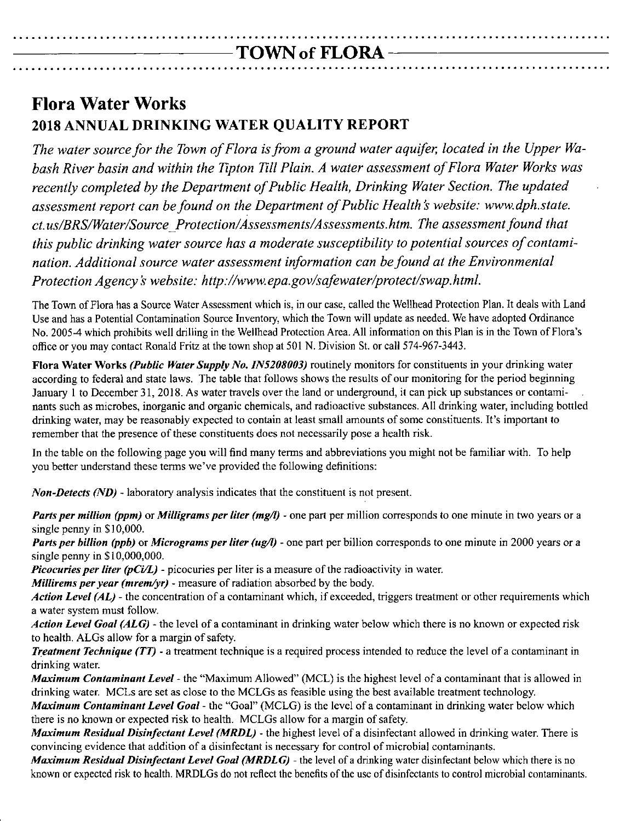## **Flora Water Works 2018 ANNUAL DRINKING WATER QUALITY REPORT**

*The water source for the Town of Flora isfrom a ground water aquifer, located in the Upper Wabash River basin and within the Tipton Till Plain. A water assessment of Flora Water Works was recently completed by the Department of Public Health, Drinking Water Section. The updated assessment report can befound on the Department of Public Health :swebsite: [www.dph.state.](http://www.dph.state.) ct.us/BRS/Water/Source \_Protection/Assessments/Assessments.htm. The assessment found that this public drinking water source has a moderate susceptibility to potential sources of contamination. Additional source water assessment information can befound at the Environmental Protection Agency:S website: <http://www.epa.gov/safewater/protect/swap.html.>*

The Town of Flora has a Source Water Assessment which is, in our case, called the Wellhead Protection Plan, It deals with Land Use and has a Potential Contamination Source Inventory, which the Town will update as needed. We have adopted Ordinance No, 2005-4 which prohibits well drilling in the Wellhead Protection Area. All information on this Plan is in the Town of Flora's office or you may contact Ronald Fritz at the town shop at SOl N, Division St. or call 574-967-3443,

Flora Water Works *(Public Water Supply No. IN5208003)* routinely monitors for constituents in your drinking water according to federal and state laws, The table that follows shows the results of our monitoring for the period beginning January I to December 31,2018, As water travels over the land or underground, it can pick up substances or contaminants such as microbes, inorganic and organic chemicals, and radioactive substances, All drinking water, including bottled drinking water, may be reasonably expccted to contain at least small amounts of some constituents, It's important to remember that the presence of these constituents does not necessarily pose a health risk.

In the table on the following page you will find many terms and abbreviations you might not be familiar with, To help you better understand these terms we've provided the following definitions:

*Non-Detects (ND)* -laboratory analysis indicates that the constituent is not present.

*Parts per million (ppm)* or *Milligrams per liter (mgll) -* one part per million corresponds to one minute in two years or a single penny in \$10,000.

*Parts per billion* (*ppb*) or *Micrograms per liter* (*ug*/*l*) - one part per billion corresponds to one minute in 2000 years or a single penny in \$10,000,000,

*Picocuries per liter (pCi/L) -* picocuries per liter is a measure of the radioactivity in water.

*Millirems per year (mrem/yr) -* measure of radiation absorbed by the body,

*Action Level (AL) -* the concentration of a contaminant which, if exceeded, triggers treatment or other requirements which a water system must follow.

*Action Level Goal (ALG) -* the level of a contaminant in drinking water below which there is no known or expected risk to health, ALGs allow for a margin of safety,

*Treatment <i>Technique* (*TT*) - a treatment technique is a required process intended to reduce the level of a contaminant in drinking water.

*Maximum Contaminant Level -* the "Maximum Allowed" (MCL) is the highest level of a contaminant that is allowed in drinking water, MCLs are set as close to the MCLGs as feasible using the best available treatment technology,

*Maximum Contaminant Level Goal -* the "Goal" (MCLG) is the level of a contaminant in drinking water below which there is no known or expected risk to health. MCLGs allow for a margin of safety.

*Maximum Residual Disinfectant Level (MRDL) -* the highest level of a disinfectant allowed in drinking water, There is convincing evidence that addition of a disinfectant is necessary for control of microbial contaminants,

*Maximum Residual Disinfectant Level Goal (MRDLG) -* the level of a drinking water disinfectant below which there is no known or expected risk to health, MRDLGs do not reflect the benefits of the use of disinfectants to control microbial contaminants,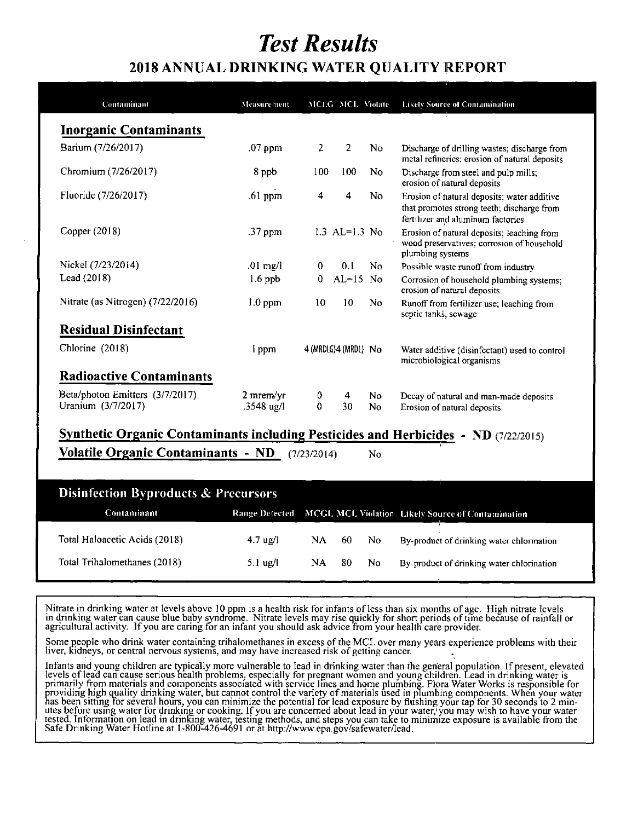# *Test Results*

## **2018 ANNUAL DRINKING WATER QUALITY REPORT**

| Contaminant                       | Measurement  |                | MCLG MCL Violate     |                | <b>Likely Source of Contamination</b>                                                                                          |
|-----------------------------------|--------------|----------------|----------------------|----------------|--------------------------------------------------------------------------------------------------------------------------------|
| <b>Inorganic Contaminants</b>     |              |                |                      |                |                                                                                                                                |
| Barium (7/26/2017)                | $.07$ ppm    | $\overline{c}$ | 2                    | No.            | Discharge of drilling wastes; discharge from<br>metal refineries; erosion of natural deposits                                  |
| Chromium (7/26/2017)              | 8 ppb        | 100            | 100                  | N <sub>0</sub> | Discharge from steel and pulp mills;<br>erosion of natural deposits                                                            |
| Fluoride (7/26/2017)              | $.61$ ppm    | 4              | 4                    | No             | Erosion of natural deposits; water additive<br>that promotes strong teeth; discharge from<br>fertilizer and aluminum factories |
| Copper $(2018)$                   | .37 ppm      |                | $1.3$ AL= $1.3$ No   |                | Erosion of natural deposits; leaching from<br>wood preservatives; corrosion of household<br>plumbing systems                   |
| Nickel (7/23/2014)                | $.01$ mg/l   | $\bf{0}$       | 0.1                  | No.            | Possible waste runoff from industry                                                                                            |
| Lead (2018)                       | $1.6$ ppb    | 0              | $AL=15$ No           |                | Corrosion of household plumbing systems;<br>erosion of natural deposits                                                        |
| Nitrate (as Nitrogen) (7/22/2016) | $1.0$ ppm    | 10             | 10                   | No.            | Runoff from fertilizer use; leaching from<br>septic tanks, sewage                                                              |
| <b>Residual Disinfectant</b>      |              |                |                      |                |                                                                                                                                |
| Chlorine (2018)                   | l ppm        |                | 4 (MRDLG)4 (MRDL) No |                | Water additive (disinfectant) used to control<br>microbiological organisms                                                     |
| <b>Radioactive Contaminants</b>   |              |                |                      |                |                                                                                                                                |
| Beta/photon Emitters (3/7/2017)   | $2$ mrem/yr  | $\bf{0}$       | 4                    | No.            | Decay of natural and man-made deposits                                                                                         |
| Uranium (3/7/2017)                | $.3548$ ug/l | $\mathbf{0}$   | 30                   | No             | Erosion of natural deposits                                                                                                    |

**Volatile Organic Contaminants - ND** (7/2312014) No

| Disinfection Byproducts & Precursors |                    |      |      |     |                                                                  |  |  |
|--------------------------------------|--------------------|------|------|-----|------------------------------------------------------------------|--|--|
| Contaminant                          |                    |      |      |     | Range Detected MCGL MCL Violation Likely Source of Contamination |  |  |
| Total Haloacetic Acids (2018)        | $4.7 \text{ ug}/l$ | NA - | -60- | No. | By-product of drinking water chlorination                        |  |  |
| Total Trihalomethanes (2018)         | 5.1 $\mu$ g/l      | NA - | -80. | No. | By-product of drinking water chlorination                        |  |  |

Nitrate in drinking water at levels above 10 ppm is a health risk for infants of less than six months of age. High nitrate levels in drinking waler can cause blue baby syndrome. Nitrate levels may rise quickly for short periods of time because of rainfall or agricultural activity. If you are caring for an infant you should ask advice from your health care provider.

Some people who drink water containing trihalomethanes in excess of the MCL over many years experience problems with their  $\frac{1}{2}$  **iver,** kidneys, or central nervous systems, and may have increased risk of getting cancer.

Infants and young children are typically more vulnerable to lead in drinking water than the general population. If present, elevated levels of lead can cause serious health problems, especially for pregnant women and young children. Lead in drinking water is primarily from materials and components associated with service lines and home plumbing. Flora Water Works is responsible for providing high quality drinking water, but cannot control the variety of materials used in plumbing components. When your water has been sitting for several hours, you can minimize the potential for lead exposure by flushing your tap for 30 seconds to 2 minutes before using water for drinking or cooking. If you are concerned about lead in your water, you may wish to have your water tested. Information on lead in drinking water, testing methods, and steps you can take to minimize exposure is available from the Safe Drinking Water Hotline at 1-800-426-4691 or at http://www.epa.gov/safewater/le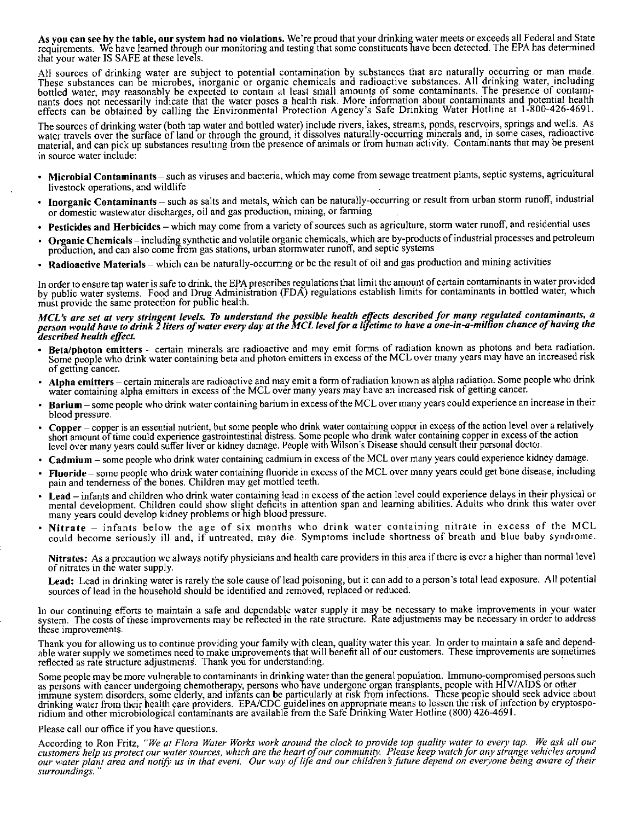As you can see by the table, our system had no violations. We're proud that your drinking water meets or exceeds all Federal and State requirements. We have learned through our monitoring and testing that some constituents have been detected. The EPA has determine that your water IS SAFE at these levels.

All sources of drinking water are subject to potential contamination by substances that are naturally occurring or man made. These substances can be microbes, inorganic or organic chemicals and radioactive substances. All drinking water, including bottled water, may reasonably be expected to contain at least small amounts of some contaminants. The presence of contami nants does not necessarily indicate that the water poses a health risk. More information about contaminants and potential health effects can be obtained by calling the Environmental Protection Agency's Safe Drinking Water Hotline at 1-800-426-4691.

The sources of drinking water (both tap water and bottled water) include rivers, lakes, streams, ponds, reservoirs, springs and wells. As water travels over the surface of land or through the ground, it dissolves naturally-occurring minerals and, in some cases, radioactive material, and can pick up substances resulting from the presence of animals or from human activity. Contaminants that may be present in source water include:

- Microbial Contaminants such as viruses and bacteria, which may come from sewage treatment plants, septic systems, agricultural livestock operations, and wildlife
- Inorganic Contaminants such as salts and metals, which can be naturally-occurring or result from urban storm runoff, industrial or domestic wastewater discharges, oil and gas production, mining, or farming
- Pesticides and Herbicides which may come from a variety of sources such as agriculture, storm water runoff, and residential uses
- Organic Chemicals including synthetic and volatile organic chemicals, which are by-products of industrial processes and petroleum production, and can also come from gas stations, urban stormwater runoff, and septic systems
- Radioactive Materials which can be naturally-occurring or be the result of oil and gas production and mining activities

In order to ensure tap water is safe to drink, the EPA prescribes regulations that limit the amount of certain contaminants in water provided by public water systems. Food and Drug Administration (FDA) regulations establish limits for contaminants in bottled water, which must provide the same protection for public health.

#### MCL's are set at very stringent levels. To understand the possible health effects described for many regulated contaminants, a person would have to drink 2 liters of water every day at the MCL level for a lifetime to have a one-in-a-million chance of having the *described health effect*

- Beta/photon emitters certain minerals are radioactive and may emit forms of radiation known as photons and beta radiation. Some people who drink water containing beta and photon emitters in excess of the MCL over many years may have an increased risk of getting cancer.
- Alpha emitters certain minerals are radioactive and may emit a form of radiation known as alpha radiation. Some people who drink water containing alpha emitters in excess of the MCL over many years may have an increased risk of getting cancer.
- Barium some people who drink water containing barium in excess of the MCL over many years could experience an increase in their blood pressure.
- Copper copper is an essential nutrient, but some people who drink water containing copper in excess of the action level over a relatively short amount of time could experience gastrointestinal distress. Some people who drink water containing copper in excess of the action level over many years could suffer liver or kidney damage. People with Wilson's Disease should consult their personal doctor.
- Cadmium some people who drink water containing cadmium in excess of the MCl over many years could experience kidney damage.
- Fluoride some people who drink water containing fluoride in excess of the MCL over many years could get bone disease, including pain and tenderness of the bones. Children may get mottled teeth.
- Lead infants and children who drink water containing lead in excess of the action level could experience delays in their physical or mental development. Children could show slight deficits in attention span and learning abilities. Adults who drink this water over many years could develop kidncy problems or high blood pressure.
- Nitrate infants below the age of six months who drink water containing nitrate in excess of the MCL could become seriously ill and, if untreated, may die. Symptoms include shortness of breath and blue baby syndrome.

Nitrates: As a precaution we always notify physicians and health care providers in this area if there is ever a higher than normal level of nitrates in the water supply.

Lead: Lead in drinking water is rarely the sole cause of lead poisoning, but it can add to a person's total lead exposure. All potential sources of lead in the household should be identified and removed, replaced or reduced.

In our continuing efforts to maintain a safe and dependable water supply it may be necessary to make improvements in your water system. The costs of these improvements may be reflected in the rate structure. Rate adjustments may be necessary in order to address these improvements.

Thank you for allowing us to continue providing your family with clean, quality water this year. In order to maintain a safe and dependable water supply we sometimes need to make improvements that will benefit all of our customers. These improvements are sometime reflected as rate structure adjustments. Thank you for understanding. The structure of the structure of the structure of the structure of the structure adjustments. Thank you for understanding.

Some people may be more vulnerable to contaminants in drinking water than the general population. Immuno-compromised persons such<br>as persons with cancer undergoing chemotherapy, persons who have undergone organ transplants immune system disorders, some elderly, and infants can be particularly at fisk from infections. These people should seek advice about drinking water from their health care providers. EPA/CDC guidelines on appropriate means to lessen thc nsk of infection by cryptosporidium and other microbiological contaminants are available from the Safe Drinking Water Hotline (800) 426-4691.

#### Please call our office if you have questions.

According to Ron Fritz, "We at Flora Water Works work around the clock to provide top quality water to every tap. We ask all our<br>customers help us protect our water sources, which are the heart of our community. Please kee our water plant area and notify us in that event. Our way of life and our children's future depend on everyone being aware of their *surroundings. "*